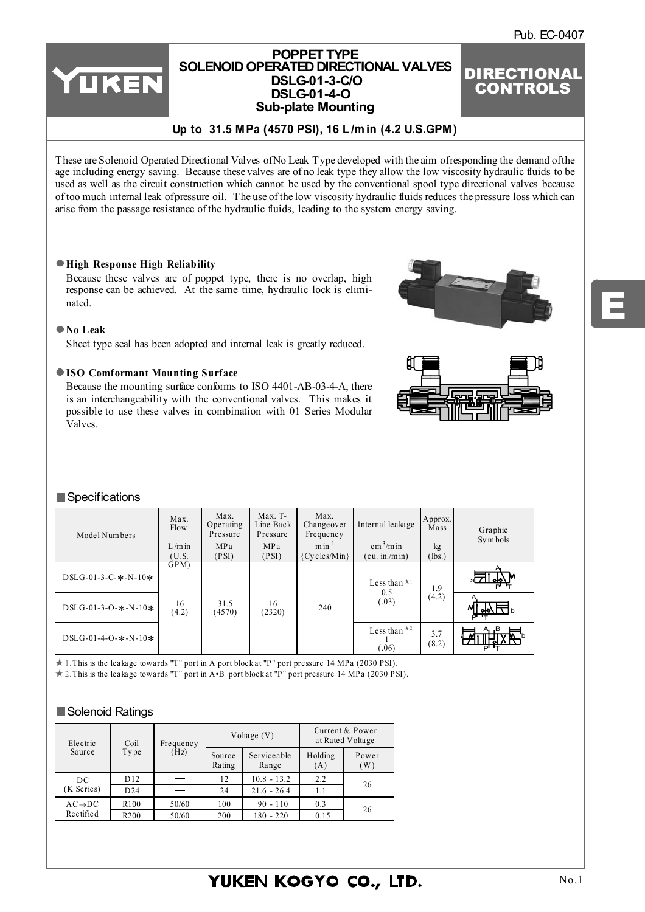E

## **POPPET TYPE [SOLENOID OPERATED DIRECTIONAL VALVES](http://www.rmc.rukmit.com) DSLG-01-3-C/O DSLG-01-4-O Sub-plate Mounting**

# DIRECTIONAL CONTROLS

# **Up to 31.5 MPa (4570 PSI), 16 L /m in (4.2 U.S.GPM)**

These are Solenoid Operated Directional Valves of No Leak Type developed with the aim of responding the demand of the age including energy saving. Because these valves are of no leak type they allow the low viscosity hydraulic fluids to be used as well as the circuit construction which cannot be used by the conventional spool type directional valves because of too much internal leak of pressure oil. The use of the low viscosity hydraulic fluids reduces the pressure loss which can arise from the passage resistance of the hydraulic fluids, leading to the system energy saving.

#### **High Response High Reliability**

YUKEN

Because these valves are of poppet type, there is no overlap, high response can be achieved. At the same time, hydraulic lock is eliminated.

#### **No Leak**

Sheet type seal has been adopted and internal leak is greatly reduced.

#### **ISO Comformant Mounting Surface**

Because the mounting surface conforms to ISO 4401-AB-03-4-A, there is an interchangeability with the conventional valves. This makes it possible to use these valves in combination with 01 Series Modular Valves.





## Specifications

| Model Numbers              | Max.<br>Flow<br>$L/m$ in<br>(U.S. | Max.<br>Operating<br>Pressure<br>MPa<br>(PSI) | $Max. T-$<br>Line Back<br>Pressure<br>MPa<br>(PSI) | Max.<br>Changeover<br>Frequency<br>$min^{-1}$<br>${Cycles/Min}$ | Internal leakage<br>$\text{cm}^3/\text{m}$ in<br>(cu. in/m in) | Approx.<br>Mass<br>kg<br>(lbs.) | Graphic<br>Symbols |
|----------------------------|-----------------------------------|-----------------------------------------------|----------------------------------------------------|-----------------------------------------------------------------|----------------------------------------------------------------|---------------------------------|--------------------|
| DSLG-01-3-C- $*$ -N-10 $*$ | GPM)                              |                                               |                                                    |                                                                 | Less than $*$ <sup>1</sup>                                     | 1.9                             | <u>⊶∆</u> M<br>ਜਾਰ |
| $DSLG-01-3-O-$ *-N-10*     | 16<br>(4.2)                       | 31.5<br>(4570)                                | 16<br>(2320)                                       | 240                                                             | 0.5<br>(.03)                                                   | (4.2)                           | Μ<br>∣∣ өЮ∖        |
| $DSLG-01-4-O-$ *-N-10*     |                                   |                                               |                                                    |                                                                 | Less than $\lambda^2$<br>.06)                                  | 3.7<br>(8.2)                    | A, B<br>åА<br>ਜਾਰ  |

1. This is the leakage towards "T" port in A port block at "P" port pressure 14 MPa (2030 PSI).

2. This is the leakage towards "T" port in A•B port block at "P" port pressure 14 MPa (2030 PSI).

## Solenoid Ratings

| Electric            | Coil             |       | Voltage $(V)$<br>Frequency |                      | Current & Power<br>at Rated Voltage |              |  |
|---------------------|------------------|-------|----------------------------|----------------------|-------------------------------------|--------------|--|
| Source              | (Hz)<br>Type     |       | Source<br>Rating           | Serviceable<br>Range | Holding<br>(A)                      | Power<br>(W) |  |
| DC                  | D12              |       | 12                         | $10.8 - 13.2$        | 2.2                                 | 26           |  |
| (K Series)          | D24              |       | 24                         | $21.6 - 26.4$        | 1.1                                 |              |  |
| $AC \rightarrow DC$ | R <sub>100</sub> | 50/60 | 100                        | $90 - 110$           | 0.3                                 |              |  |
| Rectified           | R <sub>200</sub> | 50/60 | 200                        | $180 - 220$          | 0.15                                | 26           |  |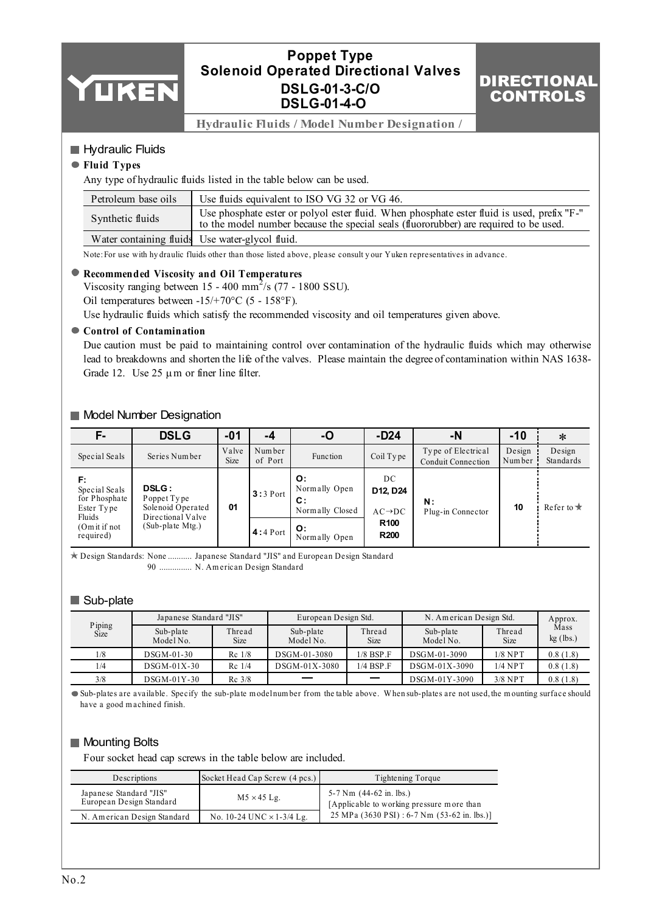

# **Poppet Type Solenoid Operated Directional Valves DSLG-01-3-C/O DSLG-01-4-O**

# DIRECTIONAL **CONTROLS**

**Hydraulic Fluids / Model Number Designation /** 

## Hydraulic Fluids

## **Fluid Types**

Any type of hydraulic fluids listed in the table below can be used.

| Petroleum base oils | Use fluids equivalent to ISO VG 32 or VG 46.                                                                                                                                        |
|---------------------|-------------------------------------------------------------------------------------------------------------------------------------------------------------------------------------|
| Synthetic fluids    | Use phosphate ester or polyol ester fluid. When phosphate ester fluid is used, prefix "F-"<br>to the model number because the special seals (fluororubber) are required to be used. |
|                     | Water containing fluids Use water-glycol fluid.                                                                                                                                     |

Note:For use with hy draulic fluids other than those listed above, please consult y our Yuken representatives in advance.

## **Recommended Viscosity and Oil Temperatures**

Viscosity ranging between  $15 - 400$  mm<sup>2</sup>/s (77 - 1800 SSU). Oil temperatures between -15/+70°C (5 - 158°F).

Use hydraulic fluids which satisfy the recommended viscosity and oil temperatures given above.

#### **Control of Contamination**

Due caution must be paid to maintaining control over contamination of the hydraulic fluids which may otherwise lead to breakdowns and shorten the life of the valves. Please maintain the degree of contamination within NAS 1638- Grade 12. Use  $25 \mu m$  or finer line filter.

## Model Number Designation

| F-                                                           | <b>DSLG</b>                                                           | $-01$         | -4                | -O                                           | $-D24$                                | -N                                              | $-10$            | ∗                   |
|--------------------------------------------------------------|-----------------------------------------------------------------------|---------------|-------------------|----------------------------------------------|---------------------------------------|-------------------------------------------------|------------------|---------------------|
| Special Seals                                                | Series Number                                                         | Valve<br>Size | Number<br>of Port | Function                                     | Coil Type                             | Type of Electrical<br><b>Conduit Connection</b> | Design<br>Number | Design<br>Standards |
| F:<br>Special Seals<br>for Phosphate<br>Ester Type<br>Fluids | <b>DSLG:</b><br>Poppet Type<br>Solenoid Operated<br>Directional Valve | 01            | $3:3$ Port        | O:<br>Normally Open<br>C:<br>Normally Closed | DC<br>D12, D24<br>$AC \rightarrow DC$ | N:<br>Plug-in Connector                         | 10               | Refer to $\star$    |
| (Om it if not<br>required)                                   | (Sub-plate Mtg.)                                                      |               | $4:4$ Port        | O:<br>Normally Open                          | R <sub>100</sub><br><b>R200</b>       |                                                 |                  |                     |

Design Standards: None ........... Japanese Standard "JIS" and European Design Standard 90 N. Am erican Design Standard ...............

# Sub-plate

|                | Japanese Standard "JIS" |                       | European Design Std.   | N. American Design Std.  | Approx.<br>Mass        |                       |             |
|----------------|-------------------------|-----------------------|------------------------|--------------------------|------------------------|-----------------------|-------------|
| Piping<br>Size | Sub-plate<br>Model No.  | Thread<br><b>Size</b> | Sub-plate<br>Model No. | Thread<br><b>Size</b>    | Sub-plate<br>Model No. | Thread<br><b>Size</b> | $kg$ (lbs.) |
| 1/8            | $DSGM-01-30$            | $Rc$ 1/8              | DSGM-01-3080           | $1/8$ BSP $\Gamma$       | DSGM-01-3090           | $1/8$ NPT             | 0.8(1.8)    |
| 1/4            | $DSGM-01X-30$           | $Rc$ 1/4              | DSGM-01X-3080          | $1/4$ BSP $\Gamma$       | DSGM-01X-3090          | $1/4$ NPT             | 0.8(1.8)    |
| 3/8            | $DSGM-01Y-30$           | $Rc$ 3/8              |                        | $\overline{\phantom{0}}$ | DSGM-01Y-3090          | $3/8$ NPT             | 0.8(1.8)    |

Sub-plates are available. Specify the sub-plate m odel num ber from the table above. W hen sub-plates are not used, the m ounting surface should have a good m achined finish.

# **Mounting Bolts**

Four socket head cap screws in the table below are included.

| Descriptions                                        | Socket Head Cap Screw (4 pcs.)   | Tightening Torque                                                                      |
|-----------------------------------------------------|----------------------------------|----------------------------------------------------------------------------------------|
| Japanese Standard "JIS"<br>European Design Standard | $M5 \times 45$ Lg.               | 5-7 Nm $(44-62 \text{ in.} \text{ lbs.})$<br>[Applicable to working pressure more than |
| N. American Design Standard                         | No. 10-24 UNC $\times$ 1-3/4 Lg. | 25 MPa (3630 PSI) : 6-7 Nm (53-62 in. lbs.)]                                           |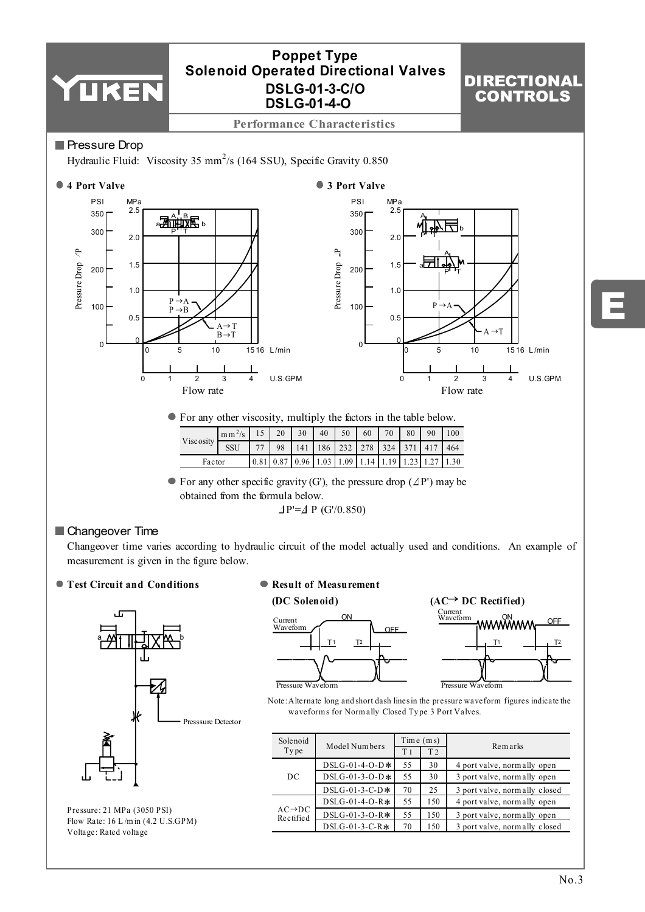

E

| • For any other viscosity, multiply the factors in the table below. |  |  |  |
|---------------------------------------------------------------------|--|--|--|
|                                                                     |  |  |  |

 $\overline{0}$   $\overline{1}$   $\overline{2}$   $\overline{3}$   $\overline{4}$  U.S.GPM

Flow rate

|           | $\left  \text{mm}^2 \right $ 15 | $\frac{1}{20}$ | 30 l                                                                                                                                                                                                    | 40   50   60   70   80 |  | 90 | 1100 |
|-----------|---------------------------------|----------------|---------------------------------------------------------------------------------------------------------------------------------------------------------------------------------------------------------|------------------------|--|----|------|
| Viscosity | SSU                             |                | 77   98   141   186   232   278   324   371   417   464                                                                                                                                                 |                        |  |    |      |
| Factor    |                                 |                | $\left[0.81\right]$ $\left[0.87\right]$ $\left[0.96\right]$ $\left[1.03\right]$ $\left[1.09\right]$ $\left[1.14\right]$ $\left[1.19\right]$ $\left[1.23\right]$ $\left[1.27\right]$ $\left[1.30\right]$ |                        |  |    |      |

 $\bullet$  For any other specific gravity (G'), the pressure drop ( $\angle$ P') may be obtained from the formula below.  $\Delta P' = \Delta P$  (G'/0.850)

# Changeover Time

Changeover time varies according to hydraulic circuit of the model actually used and conditions. An example of measurement is given in the figure below.

**Test Circuit and Conditions**



Pressure: 21 MPa (3050 PSI) Flow Rate: 16 L /m in (4.2 U.S.GPM) Voltage: Rated voltage

## **Result of Measurement**





 $\overline{0}$   $\overline{1}$   $\overline{2}$   $\overline{3}$   $\overline{4}$  U.S.GPM

Flow rate

Note:Alternate long and short dash lines in the pressure waveform figures indicate the waveforms for Normally Closed Type 3 Port Valves.

| Solenoid                         |                  | Time(ms)       |                |                               |  |
|----------------------------------|------------------|----------------|----------------|-------------------------------|--|
| Type                             | Model Numbers    | T <sub>1</sub> | T <sub>2</sub> | Remarks                       |  |
|                                  | $DSLG-01-4-O-D*$ |                | 30             | 4 port valve, normally open   |  |
| DC                               | $DSLG-01-3-O-D*$ | 55             | 30             | 3 port valve, normally open   |  |
|                                  | $DSLG-01-3-C-D*$ | 70             | 25             | 3 port valve, normally closed |  |
| $AC \rightarrow DC$<br>Rectified | $DSLG-01-4-O-R*$ | 55             | 150            | 4 port valve, normally open   |  |
|                                  | $DSLG-01-3-O-R*$ | 55             | 150            | 3 port valve, normally open   |  |
|                                  | $DSLG-01-3-C-R*$ | 70             | 150            | 3 port valve, normally closed |  |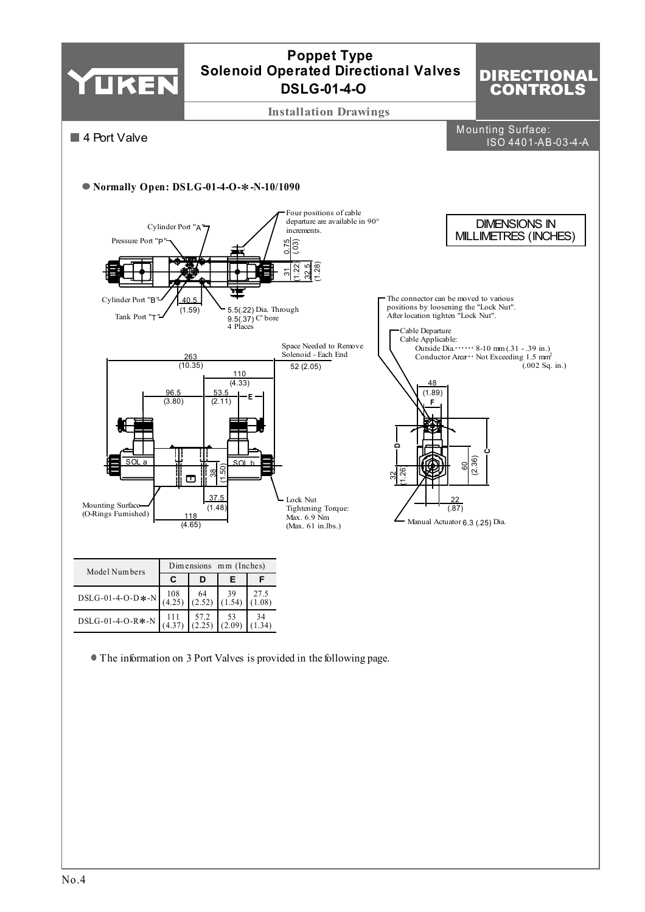

The information on 3 Port Valves is provided in the following page.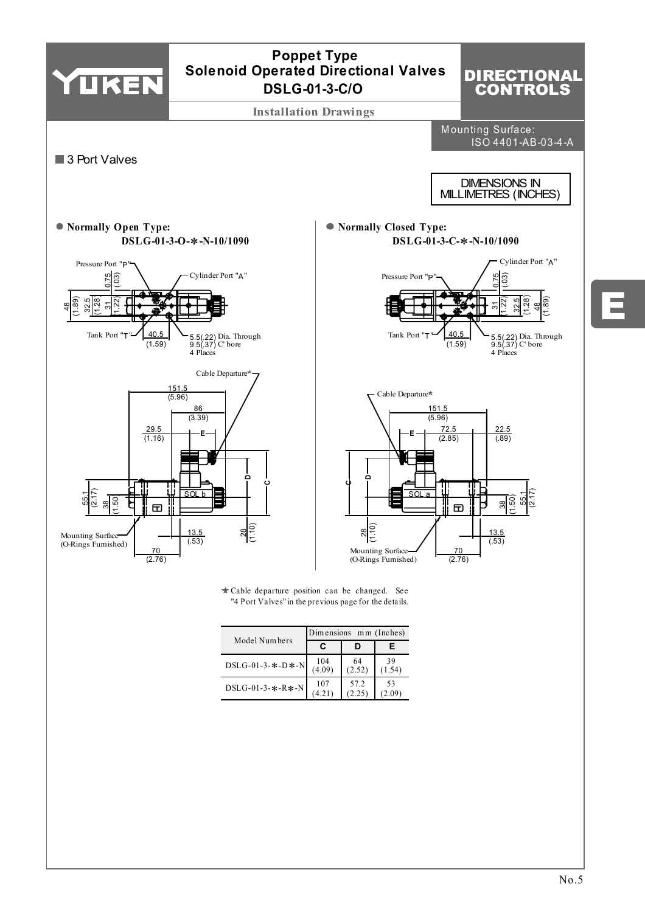

107 (4.21) DSLG-01-3-∗-R∗-N 57.2 (2.25) 53  $(2.09)$  E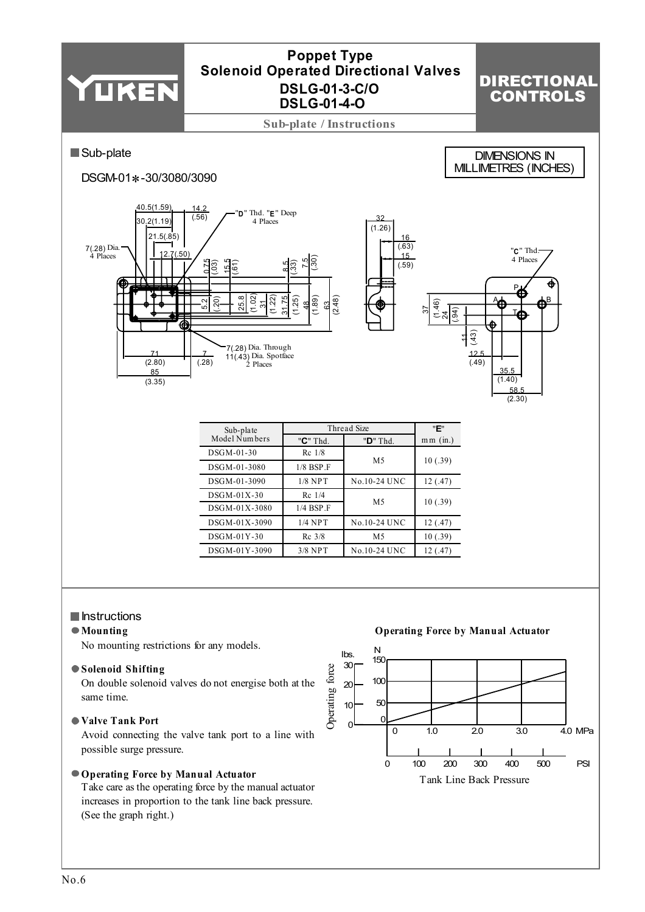

## **Instructions**

#### **Mounting**

No mounting restrictions for any models.

#### **Solenoid Shifting**

On double solenoid valves do not energise both at the same time.

## **Valve Tank Port**

Avoid connecting the valve tank port to a line with possible surge pressure.

#### **Operating Force by Manual Actuator**

Take care as the operating force by the manual actuator increases in proportion to the tank line back pressure. (See the graph right.)

**Operating Force by Manual Actuator** N lbs. 150 30 Operating force Operating force 100 20 50 10  $\epsilon$  $\Omega$  $0 \t 10 \t 20 \t 30 \t 40 MPa$ PSI 0 100 200 300 400 500 Tank Line Back Pressure